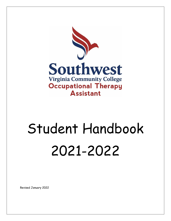

# Student Handbook 2021-2022

Revised January 2022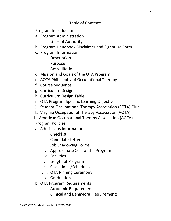# Table of Contents

- I. Program Introduction
	- a. Program Administration
		- i. Lines of Authority
	- b. Program Handbook Disclaimer and Signature Form
	- c. Program Information
		- i. Description
		- ii. Purpose
		- iii. Accreditation
	- d. Mission and Goals of the OTA Program
	- e. AOTA Philosophy of Occupational Therapy
	- f. Course Sequence
	- g. Curriculum Design
	- h. Curriculum Design Table
	- i. OTA Program-Specific Learning Objectives
	- j. Student Occupational Therapy Association (SOTA) Club
	- k. Virginia Occupational Therapy Association (VOTA)
	- l. American Occupational Therapy Association (AOTA)
- II. Program Policies
	- a. Admissions Information
		- i. Checklist
		- ii. Candidate Letter
		- iii. Job Shadowing Forms
		- iv. Approximate Cost of the Program
		- v. Facilities
		- vi. Length of Program
		- vii. Class times/Schedules
		- viii. OTA Pinning Ceremony
		- ix. Graduation
	- b. OTA Program Requirements
		- i. Academic Requirements
		- ii. Clinical and Behavioral Requirements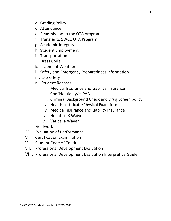- c. Grading Policy
- d. Attendance
- e. Readmission to the OTA program
- f. Transfer to SWCC OTA Program
- g. Academic Integrity
- h. Student Employment
- i. Transportation
- j. Dress Code
- k. Inclement Weather
- l. Safety and Emergency Preparedness Information
- m. Lab safety
- n. Student Records
	- i. Medical Insurance and Liability Insurance
	- ii. Confidentiality/HIPAA
	- iii. Criminal Background Check and Drug Screen policy
	- iv. Health certificate/Physical Exam form
	- v. Medical insurance and Liability Insurance
	- vi. Hepatitis B Waiver
	- vii. Varicella Waver
- III. Fieldwork
- IV. Evaluation of Performance
- V. Certification Examination
- VI. Student Code of Conduct
- VII. Professional Development Evaluation
- VIII. Professional Development Evaluation Interpretive Guide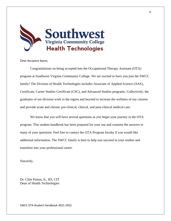

Dear Recipient Name,

Congratulations on being accepted into the Occupational Therapy Assistant (OTA) program at Southwest Virginia Community College. We are excited to have you join the SWCC family! The Division of Health Technologies includes Associate of Applied Science (AAS), Certificate, Career Studies Certificate (CSC), and Advanced Studies programs. Collectively, the graduates of our division work in the region and beyond to increase the wellness of our citizens and provide acute and chronic pre-clinical, clinical, and post-clinical medical care.

We know that you will have several questions as you begin your journey in the OTA program. This student handbook has been prepared for your use and contains the answers to many of your questions. Feel free to contact the OTA Program faculty if you would like additional information. The SWCC family is here to help you succeed in your studies and transition into your professional career.

Sincerely,

Dr. Clint Pinion, Jr., RS, CIT Dean of Health Technologies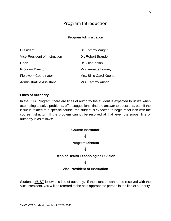# Program Introduction

Program Administration

| President                       | Dr. Tommy Wright        |
|---------------------------------|-------------------------|
| Vice-President of Instruction   | Dr. Robert Brandon      |
| Dean                            | Dr. Clint Pinion        |
| <b>Program Director</b>         | Mrs. Annette Looney     |
| <b>Fieldwork Coordinator</b>    | Mrs. Billie Carol Keene |
| <b>Administrative Assistant</b> | Mrs. Tammy Austin       |

## **Lines of Authority**

In the OTA Program, there are lines of authority the student is expected to utilize when attempting to solve problems, offer suggestions, find the answer to questions, etc. If the issue is related to a specific course, the student is expected to begin resolution with the course instructor. If the problem cannot be resolved at that level, the proper line of authority is as follows:

## **Course Instructor**

## $\downarrow$

## **Program Director**

## $\downarrow$

## **Dean of Health Technologies Division**

## $\perp$

## **Vice-President of Instruction**

Students MUST follow this line of authority. If the situation cannot be resolved with the Vice-President, you will be referred to the next appropriate person in the line of authority.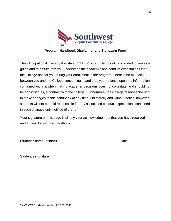

## **Program Handbook Disclaimer and Signature Form**

This Occupational Therapy Assistant (OTA) Program Handbook is provided to you as a guide and to ensure that you understand the academic and conduct expectations that the College has for you during your enrollment in the program. There is no mutuality between you and the College concerning it, and thus your reliance upon the information contained within it when making academic decisions does not constitute, and should not be construed as, a contract with the college. Furthermore, the College reserves the right to make changes to this handbook at any time, unilaterally and without notice; however, students will not be held responsible for any associated conduct expectations contained in such changes until notified of them.

Your signature on this page is simply your acknowledgement that you have received and agreed to read this handbook.

\_\_\_\_\_\_\_\_\_\_\_\_\_\_\_\_\_\_\_\_\_\_\_\_\_\_\_\_\_\_\_\_\_ \_\_\_\_\_\_\_\_\_\_\_\_\_\_\_\_ Student's name (printed) and the student's name (printed)

\_\_\_\_\_\_\_\_\_\_\_\_\_\_\_\_\_\_\_\_\_\_\_\_\_\_\_\_\_\_\_\_\_ Student's signature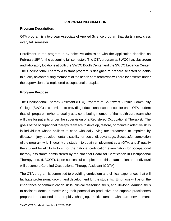## **PROGRAM INFORMATION**

## **Program Description:**

OTA program is a two-year Associate of Applied Science program that starts a new class every fall semester.

Enrollment in the program is by selective admission with the application deadline on February 15<sup>th</sup> for the upcoming fall semester. The OTA program at SWCC has classroom and laboratory locations at both the SWCC Booth Center and the SWCC Lebanon Center. The Occupational Therapy Assistant program is designed to prepare selected students to qualify as contributing members of the health care team who will care for patients under the supervision of a registered occupational therapist.

## **Program Purpose:**

The Occupational Therapy Assistant (OTA) Program at Southwest Virginia Community College (SVCC) is committed to providing educational experiences for each OTA student that will prepare him/her to qualify as a contributing member of the health care team who will care for patients under the supervision of a Registered Occupational Therapist. The goals of the occupational therapy team are to develop, restore, or maintain adaptive skills in individuals whose abilities to cope with daily living are threatened or impaired by disease, injury, developmental disability, or social disadvantage. Successful completion of the program will: 1) qualify the student to obtain employment as an OTA; and 2) qualify the student for eligibility to sit for the national certification examination for occupational therapy assistants administered by the National Board for Certification in Occupational Therapy, Inc. (NBCOT). Upon successful completion of this examination, the individual will become a Certified Occupational Therapy Assistant (COTA).

The OTA program is committed to providing curriculum and clinical experiences that will facilitate professional growth and development for the students. Emphasis will be on the importance of communication skills, clinical reasoning skills, and life-long learning skills to assist students in maximizing their potential as productive and capable practitioners prepared to succeed in a rapidly changing, multicultural health care environment.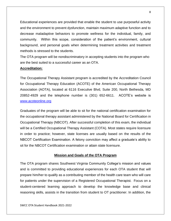Educational experiences are provided that enable the student to use purposeful activity and the environment to prevent dysfunction, maintain maximum adaptive function and to decrease maladaptive behaviors to promote wellness for the individual, family, and community. Within this scope, consideration of the patient's environment, cultural background, and personal goals when determining treatment activities and treatment methods is stressed to the students.

The OTA program will be nondiscriminatory in accepting students into the program who are the best suited to a successful career as an OTA.

## **Accreditation:**

The Occupational Therapy Assistant program is accredited by the Accreditation Council for Occupational Therapy Education (ACOTE) of the American Occupational Therapy Association (AOTA), located at 6116 Executive Blvd, Suite 200, North Bethesda, MD 20852-4929 and the telephone number is (301) 652-6611. ACOTE's website is [www.acoteonline.org](http://www.acoteonline.org/)

Graduates of the program will be able to sit for the national certification examination for the occupational therapy assistant administered by the National Board for Certification in Occupational Therapy (NBCOT). After successful completion of this exam, the individual will be a Certified Occupational Therapy Assistant (COTA). Most states require licensure in order to practice; however, state licenses are usually based on the results of the NBCOT Certification Examination. A felony conviction may affect a graduate's ability to sit for the NBCOT Certification examination or attain state licensure.

## **Mission and Goals of the OTA Program**

The OTA program shares Southwest Virginia Community College's mission and values and is committed to providing educational experiences for each OTA student that will prepare him/her to qualify as a contributing member of the health care team who will care for patients under the supervision of a Registered Occupational Therapist. Focus on a student-centered learning approach to develop the knowledge base and clinical reasoning skills, assists in the transition from student to OT practitioner. In addition, the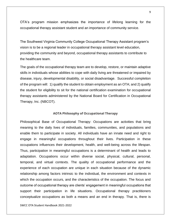OTA's program mission emphasizes the importance of lifelong learning for the occupational therapy assistant student and an importance of community service.

The Southwest Virginia Community College Occupational Therapy Assistant program's vision is to be a regional leader in occupational therapy assistant level education, providing the community and beyond, occupational therapy assistants to contribute to the healthcare team.

The goals of the occupational therapy team are to develop, restore, or maintain adaptive skills in individuals whose abilities to cope with daily living are threatened or impaired by disease, injury, developmental disability, or social disadvantage. Successful completion of the program will: 1) qualify the student to obtain employment as an OTA; and 2) qualify the student for eligibility to sit for the national certification examination for occupational therapy assistants administered by the National Board for Certification in Occupational Therapy, Inc. (NBCOT).

#### **AOTA Philosophy of Occupational Therapy**

Philosophical Base of Occupational Therapy: Occupations are activities that bring meaning to the daily lives of individuals, families, communities, and populations and enable them to participate in society. All individuals have an innate need and right to engage in meaningful occupations throughout their lives. Participation in these occupations influences their development, health, and well-being across the lifespan. Thus, participation in meaningful occupations is a determinant of health and leads to adaptation. Occupations occur within diverse social, physical, cultural, personal, temporal, and virtual contexts. The quality of occupational performance and the experience of each occupation are unique in each situation because of the dynamic relationship among factors intrinsic to the individual, the environment and contexts in which the occupation occurs, and the characteristics of the occupation. The focus and outcome of occupational therapy are clients' engagement in meaningful occupations that support their participation in life situations. Occupational therapy practitioners conceptualize occupations as both a means and an end in therapy. That is, there is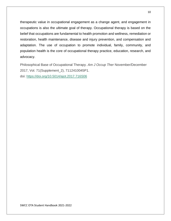therapeutic value in occupational engagement as a change agent, and engagement in occupations is also the ultimate goal of therapy. Occupational therapy is based on the belief that occupations are fundamental to health promotion and wellness, remediation or restoration, health maintenance, disease and injury prevention, and compensation and adaptation. The use of occupation to promote individual, family, community, and population health is the core of occupational therapy practice, education, research, and advocacy.

Philosophical Base of Occupational Therapy. *Am J Occup Ther* November/December 2017, Vol. 71(Supplement\_2), 7112410045P1. doi: <https://doi.org/10.5014/ajot.2017.716S06>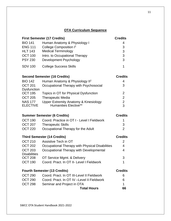# **OTA Curriculum Sequence**

| <b>First Semester (17 Credits)</b> | <b>Credits</b>                     |   |
|------------------------------------|------------------------------------|---|
| <b>BIO 141</b>                     | Human Anatomy & Physiology I       | 4 |
| <b>ENG 111</b>                     | College Composition I <sup>1</sup> | 3 |
| <b>HLT 143</b>                     | <b>Medical Terminology</b>         | 3 |
| <b>OCT 100</b>                     | Intro. to Occupational Therapy     | 3 |
| <b>PSY 230</b>                     | Development Psychology             | 3 |
| <b>SDV 100</b>                     | <b>College Success Skills</b>      |   |

## **Second Semester (16 Credits) Credits**

| <b>BIO 142</b>     | Human Anatomy & Physiology II <sup>2</sup>       | 4             |
|--------------------|--------------------------------------------------|---------------|
| <b>OCT 201</b>     | Occupational Therapy with Psychosocial           | 3             |
| <b>Dysfunction</b> |                                                  |               |
| <b>OCT 195</b>     | Topics in OT for Physical Dysfunction            | $\mathcal{P}$ |
| OCT 205            | <b>Therapeutic Media</b>                         | 2             |
| <b>NAS 177</b>     | <b>Upper Extremity Anatomy &amp; Kinesiology</b> | $\mathcal{P}$ |
| <b>ELECTIVE</b>    | <b>Humanities Elective**</b>                     | 3             |

| <b>Summer Semester (6 Credits)</b> | <b>Credits</b>                              |   |
|------------------------------------|---------------------------------------------|---|
| OCT 190                            | Coord. Practice in OT I - Level I Fieldwork |   |
| <b>OCT 207</b>                     | <b>Therapeutic Skills</b>                   | 3 |
| <b>OCT 220</b>                     | Occupational Therapy for the Adult          |   |

## **Third Semester (14 Credits) Credits**

OCT 210 Assistive Tech in OT 2 OCT 202 Occupational Therapy with Physical Disabilities 4 OCT 203 Occupational Therapy with Developmental **Disabilities** 4 OCT 208 OT Service Mgmt. & Delivery 3 OCT 190 Coord. Pract. In OT II- Level I Fieldwork 1

| <b>Fourth Semester (13 Credits)</b> |                                             | <b>Credits</b> |
|-------------------------------------|---------------------------------------------|----------------|
| <b>OCT 290</b>                      | Coord. Pract. In OT III-Level II Fieldwork  | 6              |
| <b>OCT 290</b>                      | Coord. Pract. In OT IV - Level II Fieldwork | 6              |
| <b>OCT 298</b>                      | Seminar and Project in OTA                  | 1              |
|                                     | <b>Total Hours</b>                          | 66             |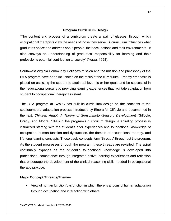## **Program Curriculum Design**

"The content and process of a curriculum create a 'pair of glasses' through which occupational therapists view the needs of those they serve. A curriculum influences what graduates notice and address about people, their occupations and their environments. It also conveys an understanding of graduates' responsibility for learning and their profession's potential contribution to society" (Yerxa, 1998).

Southwest Virginia Community College's mission and the mission and philosophy of the OTA program have been influences on the focus of the curriculum. Priority emphasis is placed on assisting the student to attain achieve his or her goals and be successful in their educational pursuits by providing learning experiences that facilitate adaptation from student to occupational therapy assistant.

The OTA program at SWCC has built its curriculum design on the concepts of the spatiotemporal adaptation process introduced by Elnora M. Gilfoyle and documented in the text, *Children Adapt: A Theory of Sensorimotor-Sensory Development* (Gilfoyle, Grady, and Moore, 1990).In the program's curriculum design, a spiraling process is visualized starting with the student's prior experiences and foundational knowledge of occupation, human function and dysfunction, the domain of occupational therapy, and life-long learning concepts. These basic concepts form "threads" throughout the program. As the student progresses through the program, these threads are revisited. The spiral continually expands as the student's foundational knowledge is developed into professional competence through integrated active learning experiences and reflection that encourage the development of the clinical reasoning skills needed in occupational therapy practice.

## **Major Concept Threads/Themes**

• View of human function/dysfunction in which there is a focus of human adaptation through occupation and interaction with others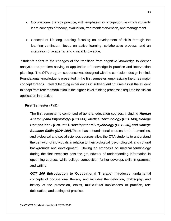- Occupational therapy practice, with emphasis on occupation, in which students learn concepts of theory, evaluation, treatment/intervention, and management.
- Concept of life-long learning focusing on development of skills through the learning continuum, focus on active learning, collaborative process, and an integration of academic and clinical knowledge.

Students adapt to the changes of the transition from cognitive knowledge to deeper analysis and problem solving to application of knowledge in practice and intervention planning. The OTA program sequence was designed with the curriculum design in mind. Foundational knowledge is presented in the first semester, emphasizing the three major concept threads. Select learning experiences in subsequent courses assist the student to adapt from rote memorization to the higher-level thinking processes required for clinical application in practice.

## **First Semester (Fall):**

The first semester is comprised of general education courses, including *Human Anatomy and Physiology I (BIO 141)*, *Medical Terminology (HLT 143), College Composition I (ENG 111), Developmental Psychology (PSY 230), and College Success Skills (SDV 100).*These basic foundational courses in the humanities, and biological and social sciences courses allow the OTA students to understand the behavior of individuals in relation to their biological, psychological, and cultural backgrounds and development. Having an emphasis on medical terminology during the first semester sets the groundwork of understanding information in upcoming courses, while college composition further develops skills in grammar and writing.

*OCT 100* **(Introduction to Occupational Therapy)** introduces fundamental concepts of occupational therapy and includes the definition, philosophy, and history of the profession, ethics, multicultural implications of practice, role delineation, and settings of practice.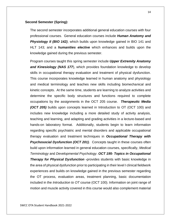## **Second Semester (Spring):**

The second semester incorporates additional general education courses with four professional courses. General education courses include *Human Anatomy and*  **Physiology II (BIO 142)**, which builds upon knowledge gained in BIO 141 and HLT 143; and a *humanities elective* which enhances and builds upon the knowledge gained during the previous semester.

Program courses taught this spring semester include *Upper Extremity Anatomy and Kinesiology (NAS 177*), which provides foundation knowledge to develop skills in occupational therapy evaluation and treatment of physical dysfunction. This course incorporates knowledge learned in human anatomy and physiology and medical terminology and teaches new skills including biomechanical and kinetic concepts. At the same time, students are learning to analyze activities and determine the specific body structures and functions required to complete occupations by the assignments in the OCT 205 course. *Therapeutic Media (OCT 205)* builds upon concepts learned in Introduction to OT (OCT 100) and includes new knowledge including a more detailed study of activity analysis, teaching and learning, and adapting and grading activities in a lecture-based and hands-on laboratory format. Additionally, students begin to learn information regarding specific psychiatric and mental disorders and applicable occupational therapy evaluation and treatment techniques in *Occupational Therapy with Psychosocial Dysfunction (OCT 201)*. Concepts taught in these courses often build upon information learned in general education courses, specifically, *Medical Terminology* and *Developmental Psychology*. *OCT 195- Topics in Occupational*  **Therapy for Physical Dysfunction -**provides students with basic knowledge in the area of physical dysfunction prior to participating in their level I clinical fieldwork experiences and builds on knowledge gained in the previous semester regarding the OT process, evaluation areas, treatment planning, basic documentation included in the *Introduction to OT* course (OCT 100). Information on joint range of motion and muscle activity covered in this course would also complement material

14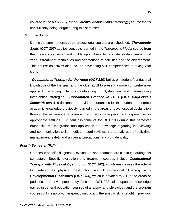covered in the *NAS 177 (Upper Extremity Anatomy and Physiology*) course that is concurrently being taught during this semester.

## **Summer Term:**

During the summer term, three professional courses are scheduled. *Therapeutic Skills (OCT 207)* applies concepts learned in the *Therapeutic Media* course from the previous semester and builds upon these to facilitate student learning of various treatment techniques and adaptations of activities and the environment. This course objectives also include developing skill competencies in taking vital signs

**Occupational Therapy for the Adult (OCT 220)** builds on student foundational knowledge of the life span and the older adult to present a more comprehensive approach regarding factors contributing to dysfunction and formulating intervention strategies. *Coordinated Practice in OT I (OCT 190)/Level I fieldwork part 1* is designed to provide opportunities for the student to integrate academic knowledge previously learned in the areas of psychosocial dysfunction through the experience of observing and participating in clinical experiences in appropriate settings. Student assignments for OCT 190 during this semester emphasize the integration and application of knowledge regarding interviewing and communication skills, medical record reviews, therapeutic use of self, time management, safety and universal precautions, and confidentiality.

#### *Fourth Semester (Fall):*

Courses in specific diagnoses, evaluation, and treatment are continued during this semester. Specific evaluation and treatment courses include *Occupational Therapy with Physical Dysfunction (OCT 202)*, which emphasizes the role of OT related to physical dysfunction and **Occupational Therapy with Developmental Disabilities** *(OCT 203),* which is devoted to OT in the areas of pediatrics and developmental dysfunction. OCT 202 builds upon the knowledge gained in general education courses of anatomy and physiology and the program courses of kinesiology, therapeutic media, and therapeutic skills taught in previous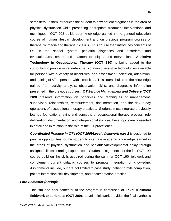semesters. It then introduces the student to new patient diagnoses in the area of physical dysfunction while presenting appropriate treatment interventions and techniques. OCT 203 builds upon knowledge gained in the general education course of human lifespan development and on previous program courses of therapeutic media and therapeutic skills. This course then introduces concepts of OT in the school system, pediatric diagnoses and disorders, and evaluation/assessment, and treatment techniques and interventions. **Assistive Technology in Occupational Therapy (OCT 210)** is being added to the curriculum to provide more in-depth exploration of assistive technologies available for persons with a variety of disabilities; and assessment, selection, adaptation, and training of AT to persons with disabilities. This course builds on the knowledge gained from activity analysis, observation skills, and diagnostic information presented in the previous courses. *OT Service Management and Delivery (OCT 208)* presents information on principles and techniques of management, supervisory relationships, reimbursement, documentation, and the day-to-day operations of occupational therapy practices. Students must integrate previously learned foundational skills and concepts of occupational therapy process, role delineation, documentation, and interpersonal skills as these topics are presented in detail and in relation to the role of the OT practitioner.

**Coordinated Practice in OT I (OCT 190)/Level I fieldwork part 2** is designed to provide opportunities for the student to integrate academic knowledge learned in the areas of physical dysfunction and pediatrics/developmental delay through assigned clinical learning experiences. Student assignments for the fall OCT 190 course build on the skills acquired during the summer OCT 190 fieldwork and complement current didactic courses to promote integration of knowledge. Assignments include, but are not limited to case study, patient profile completion, patient interaction skill development, and documentation practice.

## *Fifth Semester (Spring):*

The fifth and final semester of the program is comprised of **Level II clinical fieldwork experiences (OCT 290)**. Level II fieldwork provides the final synthesis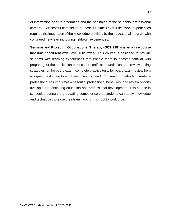of information prior to graduation and the beginning of the students' professional careers. Successful completion of these full-time Level II fieldwork experiences requires the integration of the knowledge provided by the educational program with continued new learning during fieldwork experiences.

**Seminar and Project in Occupational Therapy (OCT 298**) – is an online course that runs concurrent with Level II fieldwork. This course is designed to provide students with learning experiences that enable them to become familiar with preparing for the application process for certification and licensure; review testing strategies for the board exam; complete practice tests for board exam review from assigned texts; explore career planning and job search methods; create a professional résumé; review essential professional behaviors; and review options available for continuing education and professional development. This course is scheduled during the graduating semester so that students can apply knowledge and techniques to ease their transition from school to workforce.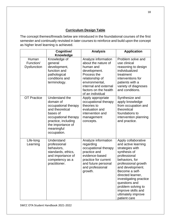# **Curriculum Design Table**

The concept themes/threads below are introduced in the foundational courses of the first semester and continually revisited in later courses to reinforce and build upon the concept as higher level learning is achieved.

|                                   | Cognitive/<br>Knowledge                                                                                                                                                             | <b>Analysis</b>                                                                                                                                                                                   | <b>Application</b>                                                                                                                                                                                                                                                                                                             |
|-----------------------------------|-------------------------------------------------------------------------------------------------------------------------------------------------------------------------------------|---------------------------------------------------------------------------------------------------------------------------------------------------------------------------------------------------|--------------------------------------------------------------------------------------------------------------------------------------------------------------------------------------------------------------------------------------------------------------------------------------------------------------------------------|
| Human<br>Function/<br>Dysfunction | Knowledge of<br>general<br>development,<br>function and<br>pathological<br>conditions and<br>terminology.                                                                           | Analyze information<br>about the nature of<br>human and<br>development.<br>Process the<br>relationship of<br>environmental,<br>internal and external<br>factors on the health<br>of an individual | Problem solve and<br>use clinical<br>reasoning to design<br>individualized<br>treatment<br>interventions for<br>patients with a<br>variety of diagnoses<br>and conditions.                                                                                                                                                     |
| <b>OT Practice</b>                | Understand the<br>domain of<br>occupational therapy<br>and theoretical<br>bases of<br>occupational therapy<br>practice, including<br>the importance of<br>meaningful<br>occupation. | Apply appropriate<br>occupational therapy<br>theories to<br>evaluation and<br>intervention and<br>management<br>concepts.                                                                         | Synthesize and<br>apply knowledge<br>from occupation and<br>theoretical<br>foundations to<br>intervention planning<br>and practice.                                                                                                                                                                                            |
| Life-long<br>Learning             | Understand<br>professional<br>behaviors,<br>standards, ethics,<br>and importance of<br>competency as a<br>practitioner.                                                             | Analyze information<br>regarding<br>occupational therapy<br>practice and<br>evidence-based<br>practice for current<br>and future personal<br>and professional<br>growth.                          | Apply collaborative<br>and active learning<br>strategies with<br>synthesis of<br>professional<br>behaviors, for<br>professional growth<br>and development.<br>Become a self-<br>directed learner,<br>investigating practice<br>questions and<br>problem solving to<br>improve skills and<br>ultimately improve<br>patient care |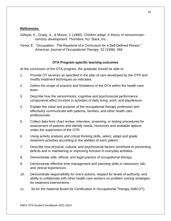## **References:**

- Gilfoyle, E., Grady, A., & Moore, J. (1990). *Children adapt: A theory of sensorimotorsensory development*. Thorofare, NJ: Slack, Inc...
- Yerxa, E. "Occupation: The Keystone of a Curriculum for a Self-Defined Person." *American Journal of Occupational Therapy.* 52 (1998): 366.

## **OTA Program-specific learning outcomes**

At the conclusion of the OTA program, the graduate should be able to:

- 1. Provide OT services as specified in the plan of care developed by the OTR and modify treatment techniques as indicated.
- 2. Define the scope of practice and limitations of the OTA within the health care team.
- 3. Describe how the sensorimotor, cognitive and psychosocial performance components affect function in activities of daily living, work, and play/leisure.
- 4. Explain the value and purpose of the occupational therapy profession and effectively communicate with patients, families, and other health care professionals.
- 5. Collect data from chart review, interview, screening, or testing procedures for assessment of patients and identify needs, resources and available options under the supervision of the OTR.
- 6. Using activity analysis and critical thinking skills, select, adapt and grade treatment activities according to the abilities of each patient.
- 7. Describe how physical, cultural, and psychosocial factors contribute to preventing deficits and in maintaining or improving function in everyday activities.
- 8. Demonstrate safe, ethical, and legal practice of occupational therapy.
- 9. Demonstrate effective time management and planning skills in classroom, lab, and clinical experiences.
- 10. Demonstrate responsibility for one's actions, respect for levels of authority, and ability to collaborate with other health care workers on problem solving strategies for treatment interventions.
- 11. Sit for the National Board for Certification in Occupational Therapy (NBCOT).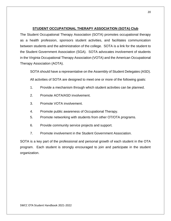## **STUDENT OCCUPATIONAL THERAPY ASSOCIATION (SOTA) Club**

The Student Occupational Therapy Association (SOTA) promotes occupational therapy as a health profession, sponsors student activities, and facilitates communication between students and the administration of the college. SOTA is a link for the student to the Student Government Association (SGA). SOTA advocates involvement of students in the Virginia Occupational Therapy Association (VOTA) and the American Occupational Therapy Association (AOTA).

SOTA should have a representative on the Assembly of Student Delegates (ASD).

All activities of SOTA are designed to meet one or more of the following goals:

- 1. Provide a mechanism through which student activities can be planned.
- 2. Promote AOTA/ASD involvement.
- 3. Promote VOTA involvement.
- 4. Promote public awareness of Occupational Therapy.
- 5. Promote networking with students from other OT/OTA programs.
- 6. Provide community service projects and support.
- 7. Promote involvement in the Student Government Association.

SOTA is a key part of the professional and personal growth of each student in the OTA program. Each student is strongly encouraged to join and participate in the student organization.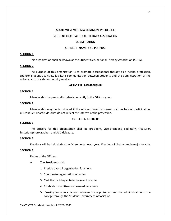#### **SOUTHWEST VIRGINIA COMMUNITY COLLEGE**

#### **STUDENT OCCUPATIONAL THERAPY ASSOCIATION**

#### **CONSTITUTION**

#### **ARTICLE I. NAME AND PURPOSE**

#### **SECTION 1.**

This organization shall be known as the Student Occupational Therapy Association (SOTA).

#### **SECTION 2.**

The purpose of this organization is to promote occupational therapy as a health profession, sponsor student activities, facilitate communication between students and the administration of the college, and provide community services.

#### **ARTICLE II. MEMBERSHIP**

#### **SECTION 1**.

Membership is open to all students currently in the OTA program.

#### **SECTION 2**.

Membership may be terminated if the officers have just cause, such as lack of participation, misconduct, or attitudes that do not reflect the interest of the profession.

#### **ARTICLE III. OFFICERS**

#### **SECTION 1**.

The officers for this organization shall be president, vice-president, secretary, treasurer, historian/photographer, and ASD delegate.

#### **SECTION 2.**

Elections will be held during the fall semester each year. Election will be by simple majority vote.

#### **SECTION 3**.

Duties of the Officers:

- A. The **President** shall:
	- 1. Preside over all organization functions
	- 2. Coordinate organization activities
	- 3. Cast the deciding vote in the event of a tie
	- 4. Establish committees as deemed necessary
	- 5. Possibly serve as a liaison between the organization and the administration of the college through the Student Government Association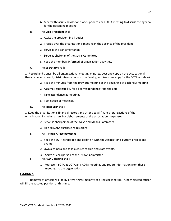- 6. Meet with faculty advisor one week prior to each SOTA meeting to discuss the agenda for the upcoming meeting
- B. The **Vice-President** shall:
	- 1. Assist the president in all duties
	- 2. Preside over the organization's meeting in the absence of the president
	- 3. Serve as the parliamentarian
	- 4. Serve as chairman of the Social Committee
	- 5. Keep the members informed of organization activities.
- C. The **Secretary** shall:

1. Record and transcribe all organizational meeting minutes, post one copy on the occupational therapy bulletin board, distribute one copy to the faculty, and keep one copy for the SOTA notebook

- 2. Read the minutes from the previous meeting at the beginning of each new meeting
- 3. Assume responsibility for all correspondence from the club.
- 4. Take attendance at meetings
- 5. Post notice of meetings.
- D. The **Treasurer** shall:

1. Keep the organization's financial records and attend to all financial transactions of the organization, including arranging disbursements of the association's expenses

- 2. Serve as chairperson of the Ways and Means Committee.
- 3. Sign all SOTA purchase requisitions.

#### E. The **Historian/Photographer**

- 1. Keep the SOTA scrapbook and update it with the Association's current project and events
- 2. Own a camera and take pictures at club and class events.
- 3. Serve as chairperson of the Bylaws Committee
- F. The **ASD Delegate** shall:
	- 1. Represent SOTA at VOTA and AOTA meetings and report information from these meetings to the organization.

#### **SECTION 4.**

Removal of officers will be by a two-thirds majority at a regular meeting. A new elected officer will fill the vacated position at this time.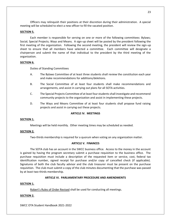Officers may relinquish their positions at their discretion during their administration. A special meeting will be scheduled to elect a new officer to fill the vacated position.

#### **SECTION 5.**

Each member is responsible for serving on one or more of the following committees: Bylaws; Social; Special Projects; Ways and Means. A sign-up sheet will be posted by the president following the first meeting of the organization. Following the second meeting, the president will review the sign-up sheet to ensure that all members have selected a committee. Each committee will designate a chairperson and submit the name of that individual to the president by the third meeting of the organization.

#### **SECTION 6.**

Duties of Standing Committees

- A. The Bylaws Committee of at least three students shall review the constitution each year and make recommendations for additions/deletions.
- B. The Social Committee of at least four students shall make recommendations and arrangements, and assist in carrying out plans for all SOTA activities.
- C. The Special Projects Committee of at least four students shall investigate and recommend community projects to the organization and assist in implementing these projects.
- D. The Ways and Means Committee of at least four students shall propose fund raising projects and assist in carrying out these projects.

#### **ARTICLE IV. MEETINGS**

#### **SECTION 1.**

Meetings will be held monthly. Other meeting times may be scheduled as needed.

#### **SECTION 2.**

Two-thirds membership is required for a quorum when voting on any organization matter.

#### **ARTICLE V. FINANCES**

The SOTA club has an account in the SWCC business office. Access to the money in the account is gained by having the program secretary submit a purchase requisition to the business office. The purchase requisition must include a description of the requested item or service, cost, federal tax identification number, signed receipt for purchase and/or copy of cancelled check (if applicable). Signatures of both the club faculty advisor and the club treasurer must be present on the purchase requisition. The club must submit a copy of the club minutes documenting that the purchase was passed by at least two-thirds membership.

#### **ARTICLE VI. PARLIAMENTARY PROCEDURE AND AMENDMENTS**

#### **SECTION 1.**

Robert's Rules of Order Revised shall be used for conducting all meetings.

#### **SECTION 2.**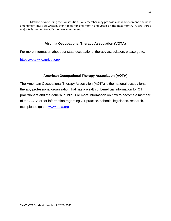Method of Amending the Constitution – Any member may propose a new amendment; the new amendment must be written, then tabled for one month and voted on the next month. A two-thirds majority is needed to ratify the new amendment.

## **Virginia Occupational Therapy Association (VOTA)**

For more information about our state occupational therapy association, please go to:

<https://vota.wildapricot.org/>

## **American Occupational Therapy Association (AOTA)**

The American Occupational Therapy Association (AOTA) is the national occupational therapy professional organization that has a wealth of beneficial information for OT practitioners and the general public. For more information on how to become a member of the AOTA or for information regarding OT practice, schools, legislation, research, etc., please go to: [www.aota.org](http://www.aota.org/)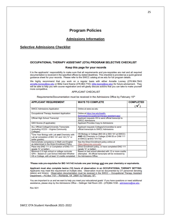# **Program Policies**

#### **Admissions Information**

## **Selective Admissions Checklist**

#### OCCUPATIONAL THERAPY ASSISTANT (OTA) PROGRAM SELECTIVE CHECKLIST

#### Keep this page for your records

It is the applicants' responsibility to make sure that all requirements and pre-requisites are met and all required documentation is received in the specified offices by stated deadlines. This checklist is provided as a quick general quidance sheet for your records. Please refer to the SWCC catalog at sw.edu for full program details.

We highly recommend that you work on a regular basis with either Annette Looney (276.964.7643 annette.looney@sw.edu or Billie Carol Keene (276.964.7743, billie.keene@sw.edu) for future advisement. They will be able to help you with course registration and will gladly discuss actions that you can take to make yourself more competitive.

#### **APPLICANT CHECKLIST**

Requirements/Documentation must be received in the Admissions Office by February 15th

| <b>APPLICANT REQUIREMENT</b>                                                                                                                      | <b>WAYS TO COMPLETE</b>                                                                                                                    | <b>COMPLETED</b> |
|---------------------------------------------------------------------------------------------------------------------------------------------------|--------------------------------------------------------------------------------------------------------------------------------------------|------------------|
|                                                                                                                                                   |                                                                                                                                            |                  |
| <b>SWCC Admissions Application</b>                                                                                                                | Online at www.sw.edu                                                                                                                       |                  |
| Occupational Therapy Assistant Application                                                                                                        | Online at https://sw.edu/health-<br>technology/occupational-therapy-assistant-app/                                                         |                  |
| <b>Official High School Transcript</b>                                                                                                            | Applicant requests HS to send official transcript to<br><b>SWCC Admissions</b>                                                             |                  |
| GED Scores (if applicable)                                                                                                                        | <b>Applicant Provides Copy to Admissions</b>                                                                                               |                  |
| <b>ALL Official College/University Transcripts</b><br>(excluding VCCS - Virginia Community<br>Colleges)                                           | Applicant requests Colleges/Universities to send<br>official transcripts to SWCC Admissions                                                |                  |
| *One Year Biology with Lab and Chemistry with<br>Lab or completion of BIO 141 and 142 ("C" or<br>better grades)                                   | HS Biology or College (BIO 20 or BIO 101 at SWCC)<br>AND HS Chemistry or College (CHM 05 or CHM 111<br>at SWCC) or BIO 141/142             |                  |
| Demonstrate competency in Math and English<br>as determined in the Direct Enrollment Policy                                                       | See the Direct Enrollment policy online at<br>https://desurvey.vccs.edu/                                                                   |                  |
| Place into ENG 111 or Completion of ENG 111<br>(grade "C" or better)                                                                              | Direct Enrollment policy, or have completed ENG 111<br>(grade "C" or better)                                                               |                  |
| Minimum 2.5 high school or college curricular<br>GPA - Based on Last School Attended Whether<br>HS or College, with at least 12 credits completed | Based on last school attended with 12 or more credits<br>attempted. All official transcripts will be reviewed by<br>the Admissions Office. |                  |

\*Please note pre-requisites for BIO 141/142 include one year biology and one year chemistry or equivalents.

Applicant must also complete twelve (12) hours of observation in an OCCUPATIONAL THERAPY SETTING. Applicants may meet this requirement at multiple sites. Observation must be documented by OT personnel denoting date(s) and time(s). Observation documentation must be received in the SWCC - Occupational Therapy Assistant Department - PO Box 1101 - Richlands, VA 24641 by February 15th.

You are important to us and we want to help you meet your educational goals! If you have questions or need additional assistance, please stop by the Admissions Office - Dellinger Hall Room 220 - (276)964.7238 - admissions@sw.edu.

**Rev 9/21**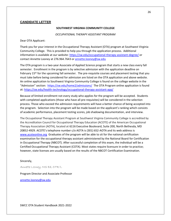#### **CANDIDATE LETTER**

#### **SOUTHWEST VIRGINIA COMMUNITY COLLEGE**

#### *OCCUPATIONAL THERAPY ASSISTANT PROGRAM*

Dear OTA Applicant:

Thank you for your interest in the Occupational Therapy Assistant (OTA) program at Southwest Virginia Community College. This is provided to help you through the application process. Additional information is available at our website:<https://sw.edu/occupational-therapy-assistant-degree/> or contact Annette Looney at 276.964.7643 or [annette.looney@sw.edu](mailto:annette.looney@sw.edu)

The OTA program is a two-year Associate of Applied Science program that starts a new class every fall semester. Enrollment in the program is by selective admission with the application deadline on February 15<sup>th</sup> for the upcoming fall semester. The pre-requisite courses and placement testing that you must take before being considered for admission are listed on the OTA application and above website. An online application to Southwest Virginia Community College is found on the college website in the "Admission" section: <https://sw.edu/home2/admissions/>The OTA Program online application is found at:<https://sw.edu/health-technology/occupational-therapy-assistant-app/>

Because of limited enrollment not every study who applies for the program will be accepted. Students with completed applications (those who have all pre-requisites) will be considered in the selection process. Those who exceed the admission requirements will have a better chance of being accepted into the program. Selection into the program will be made based on the applicant's ranking which consists of academic performance, placement testing scores, job shadowing documentation, and interview.

The Occupational Therapy Assistant Program at Southwest Virginia Community College is accredited by the Accreditation Council for Occupational Therapy Education (ACOTE) of the American Occupational Therapy Association (AOTA), located at 6116 Executive Boulevard, Suite 200, North Bethesda, MD 20852-4929. ACOTE's telephone number c/o AOTA is (301) 652-AOTA and its web address is [www.acoteonline.org](http://www.acoteonline.org/) Graduates of the program will be able to sit for the national certification examination for the occupational therapy assistant administered by the National Board for Certification in Occupational Therapy (NBCOT). After successful completion of this exam, the individual will be a Certified Occupational Therapy Assistant (COTA). Most states require licensure in order to practice; however, state licenses are usually based on the results of the NBCOT Certification Examination.

#### Sincerely,

Annette Looney, MS Ed, OTR/L

#### Program Director and Associate Professor

[annette.looney@sw.edu](mailto:annette.looney@sw.edu)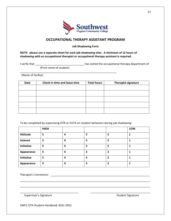

## **OCCUPATIONAL THERAPY ASSISTANT PROGRAM**

**Job Shadowing Form**

**NOTE: please use a separate sheet for each job shadowing sites. A minimum of 12 hours of shadowing with an occupational therapist or occupational therapy assistant is required.** 

I verify that \_\_\_\_\_\_\_\_\_\_\_\_\_\_\_\_\_\_\_\_\_\_\_\_\_\_\_\_\_\_\_\_ has visited the occupational therapy department of

(Print name of student)

\_\_\_\_\_\_\_\_\_\_\_\_\_\_\_\_\_\_\_\_\_\_\_\_\_\_\_\_\_\_\_\_\_\_\_\_\_\_\_\_\_\_\_\_\_\_\_\_\_\_\_\_\_\_\_\_\_\_\_\_\_\_\_

(Name of facility)

| <b>Date</b> | Check in time and leave time | <b>Total hours</b> | Therapist signature |
|-------------|------------------------------|--------------------|---------------------|
|             |                              |                    |                     |
|             |                              |                    |                     |
|             |                              |                    |                     |
|             |                              |                    |                     |
|             |                              |                    |                     |

To be completed by supervising OTR or COTA on student behaviors during job shadowing:

|                 | <b>HIGH</b> |   |   |   | LOW |
|-----------------|-------------|---|---|---|-----|
| <b>Attitude</b> | 5           | 4 | 3 |   |     |
| Interest        | 5           | 4 | 3 |   |     |
| Initiative      | 5           | 4 | 3 | 2 |     |
| Appearance      | 5           | 4 | 3 | 7 |     |
| Initiative      | 5           | 4 | 3 |   |     |
| Appearance      | 5           | 4 | 3 | 2 |     |

\_\_\_\_\_\_\_\_\_\_\_\_\_\_\_\_\_\_\_\_\_\_\_\_\_\_\_\_\_\_\_\_\_\_\_\_\_\_\_\_\_\_\_\_\_\_\_\_\_\_\_\_\_\_\_\_\_\_\_\_\_\_\_\_\_\_\_\_\_\_\_\_\_\_\_\_\_\_\_\_\_\_\_\_\_

\_\_\_\_\_\_\_\_\_\_\_\_\_\_\_\_\_\_\_\_\_\_\_\_\_\_\_\_\_\_\_\_\_\_\_\_\_\_\_\_\_\_\_\_\_\_\_\_\_\_\_\_\_\_\_\_\_\_\_\_\_\_\_\_\_\_\_\_\_\_\_\_\_\_\_\_\_\_\_\_\_\_\_\_\_

\_\_\_\_\_\_\_\_\_\_\_\_\_\_\_\_\_\_\_\_\_\_\_\_\_\_\_\_\_\_\_\_\_\_\_\_\_\_ \_\_\_\_\_\_\_\_\_\_\_\_\_\_\_\_\_\_\_\_\_\_\_\_\_\_\_\_\_\_\_\_\_\_\_\_\_\_\_

Therapist's Comments: \_\_\_\_\_\_\_\_\_\_\_\_\_\_\_\_\_\_\_\_\_\_\_\_\_\_\_\_\_\_\_\_\_\_\_\_\_\_\_\_\_\_\_\_\_\_\_\_\_\_\_\_\_\_\_\_\_\_\_\_\_\_\_\_\_

Supervisor's Signature Student Signature Student Signature Student Signature Student Signature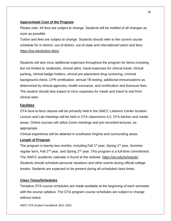## **Approximate Cost of the Program**

Please note: All fees are subject to change. Students will be notified of all changes as soon as possible.

Tuition and fees are subject to change. Students should refer to the current course schedule for in-district, out-of-district, out-of-state and international tuition and fees: <https://sw.edu/tuition-fees/>

Students will also incur additional expenses throughout the program for items including, but not limited to, textbooks, clinical attire, travel expenses for clinical travel, clinical parking, clinical badge holders, clinical pre-placement drug screening, criminal background check, CPR certification, annual TB testing, additional immunizations as determined by clinical agencies, health insurance, and certification and licensure fees. The student should also expect to incur expenses for meals and travel to and from clinical sites.

## **Facilities**

OTA face-to-face classes will be primarily held in the SWCC Lebanon Center location. Lecture and Lab meetings will be held in OTA classrooms 4,5, OTA kitchen and media areas. Online courses will utilize Zoom meetings and pre-recorded lectures, as appropriate.

Clinical experience will be attained in southwest Virginia and surrounding areas.

## **Length of Program**

The program is twenty-two months, including Fall 1<sup>st</sup> year, Spring 1<sup>st</sup> year, Summer regular term, Fall  $2^{nd}$  year, and Spring  $2^{nd}$  year. This program is a full-time commitment. The SWCC academic calendar is found at the website:<https://sw.edu/schedule/> . Students should schedule personal vacations and other events during official college breaks. Students are expected to be present during all scheduled class times.

## **Class Times/Schedules**

Tentative OTA course schedules are made available at the beginning of each semester with the course syllabus. The OTA program course schedules are subject to change without notice.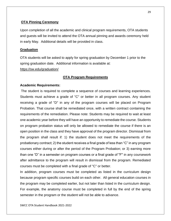## **OTA Pinning Ceremony**

Upon completion of all the academic and clinical program requirements, OTA students and guests will be invited to attend the OTA annual pinning and awards ceremony held in early May. Additional details will be provided in class.

#### **Graduation**

OTA students will be asked to apply for spring graduation by December 1 prior to the spring graduation date. Additional information is available at: <https://sw.edu/graduation/>

## **OTA Program Requirements**

#### **Academic Requirements:**

The student is required to complete a sequence of courses and learning experiences. Students must achieve a grade of "C" or better in all program courses. Any student receiving a grade of "D" in any of the program courses will be placed on Program Probation. That course shall be remediated once, with a written contract containing the requirements of the remediation. Please note: Students may be required to wait at least one academic year before they will have an opportunity to remediate the course. Students on program probation status will only be allowed to remediate the course if there is an open position in the class and they have approval of the program director. Dismissal from the program shall result if: 1) the student does not meet the requirements of the probationary contract; 2) the student receives a final grade of less than "C" in any program courses either during or after the period of the Program Probation; or 3) earning more than one "D" in a semester on program courses or a final grade of "F" in any coursework after admittance to the program will result in dismissal from the program. Remediated courses must be completed with a final grade of "C" or better.

In addition, program courses must be completed as listed in the curriculum design because program specific courses build on each other. All general education courses in the program may be completed earlier, but not later than listed in the curriculum design. For example, the anatomy course must be completed in full by the end of the spring semester in the program or the student will not be able to advance.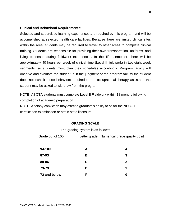#### **Clinical and Behavioral Requirements:**

Selected and supervised learning experiences are required by this program and will be accomplished at selected health care facilities. Because there are limited clinical sites within the area, students may be required to travel to other areas to complete clinical training. Students are responsible for providing their own transportation, uniforms, and living expenses during fieldwork experiences. In the fifth semester, there will be approximately 40 hours per week of clinical time (Level II fieldwork) in two eight week segments, so students must plan their schedules accordingly. Program faculty will observe and evaluate the student. If in the judgment of the program faculty the student does not exhibit those behaviors required of the occupational therapy assistant, the student may be asked to withdraw from the program.

NOTE: All OTA students must complete Level II Fieldwork within 18 months following completion of academic preparation.

NOTE: A felony conviction may affect a graduate's ability to sit for the NBCOT certification examination or attain state licensure.

#### **GRADING SCALE**

| Grade out of 100 |   | Letter grade Numerical grade quality point |
|------------------|---|--------------------------------------------|
|                  |   |                                            |
| 94-100           | A | 4                                          |
| 87-93            | В | 3                                          |
| 80-86            | C | 2                                          |
| 73-79            | D | 1                                          |
| 72 and below     | F | 0                                          |
|                  |   |                                            |

The grading system is as follows: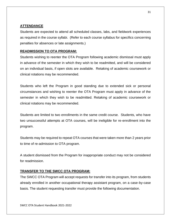## **ATTENDANCE**

Students are expected to attend all scheduled classes, labs, and fieldwork experiences as required in the course syllabi. (Refer to each course syllabus for specifics concerning penalties for absences or late assignments.)

## **READMISSION TO OTA PROGRAM:**

Students wishing to reenter the OTA Program following academic dismissal must apply in advance of the semester in which they wish to be readmitted, and will be considered on an individual basis, if open slots are available. Retaking of academic coursework or clinical rotations may be recommended.

Students who left the Program in good standing due to extended sick or personal circumstances and wishing to reenter the OTA Program must apply in advance of the semester in which they wish to be readmitted. Retaking of academic coursework or clinical rotations may be recommended.

Students are limited to two enrollments in the same credit course. Students, who have two unsuccessful attempts at OTA courses, will be ineligible for re-enrollment into the program.

Students may be required to repeat OTA courses that were taken more than 2 years prior to time of re-admission to OTA program.

A student dismissed from the Program for inappropriate conduct may not be considered for readmission.

## **TRANSFER TO THE SWCC OTA PROGRAM:**

The SWCC OTA Program will accept requests for transfer into its program, from students already enrolled in another occupational therapy assistant program, on a case-by-case basis. The student requesting transfer must provide the following documentation.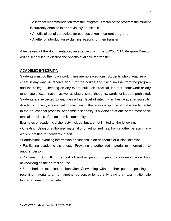• A letter of recommendation from the Program Director of the program the student is currently enrolled in or previously enrolled in.

- An official set of transcripts for courses taken in current program.
- A letter of introduction explaining reasons for their transfer.

After review of the documentation, an interview with the SWCC OTA Program Director will be scheduled to discuss the options available for transfer.

## **ACADEMIC INTEGRITY:**

Students must do their own work; there are no exceptions. Students who plagiarize or cheat in any way will receive an "F" for the course and risk dismissal from the program and the college. Cheating on any exam, quiz, lab practical, lab test, homework or any other type of examination, as well as plagiarism of thoughts, words, or ideas is prohibited. Students are expected to maintain a high level of integrity in their academic pursuits. Academic honesty is essential for maintaining the relationship of trust that is fundamental to the educational process. Academic dishonesty is a violation of one of the most basic ethical principles of an academic community.

Examples of academic dishonesty include, but are not limited to, the following:

• Cheating: Using unauthorized material or unauthorized help from another person in any work submitted for academic credit.

• Fabrication: Inventing information or citations in an academic or clinical exercise.

• Facilitating academic dishonesty: Providing unauthorized material or information to another person.

• Plagiarism: Submitting the work of another person or persons as one's own without acknowledging the correct source.

• Unauthorized examination behavior: Conversing with another person, passing or receiving material to or from another person, or temporarily leaving an examination site to visit an unauthorized site.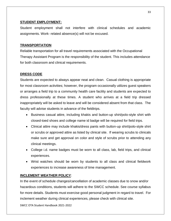## **STUDENT EMPLOYMENT:**

Student employment shall not interfere with clinical schedules and academic assignments. Work- related absence(s) will not be excused.

## **TRANSPORTATION**

Reliable transportation for all travel requirements associated with the Occupational Therapy Assistant Program is the responsibility of the student. This includes attendance for both classroom and clinical requirements.

## **DRESS CODE**

Students are expected to always appear neat and clean. Casual clothing is appropriate for most classroom activities; however, the program occasionally utilizes guest speakers or arranges a field trip to a community health care facility and students are expected to dress professionally at these times. A student who arrives at a field trip dressed inappropriately will be asked to leave and will be considered absent from that class. The faculty will advise students in advance of the fieldtrips.

- Business casual attire, including khakis and button-up shirt/polo-style shirt with closed-toed shoes and college name id badge will be required for field trips.
- Clinical attire may include khakis/dress pants with button-up shirt/polo-style shirt or scrubs or approved attire as listed by clinical site. If wearing scrubs to clinicals make sure and get approval on color and style of scrubs prior to attending any clinical meetings.
- College i.d. name badges must be worn to all class, lab, field trips, and clinical experiences.
- Wrist watches should be worn by students to all class and clinical fieldwork experiences to increase awareness of time management.

## **INCLEMENT WEATHER POLICY**:

In the event of schedule changes/cancellation of academic classes due to snow and/or hazardous conditions, students will adhere to the SWCC schedule. See course syllabus for more details. Students must exercise good personal judgment in regard to travel. For inclement weather during clinical experiences, please check with clinical site.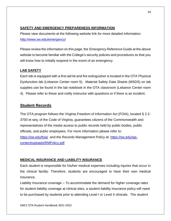# **SAFETY AND EMERGENCY PREPARENESS INFORMATION**

Please view documents at the following website link for more detailed information: <http://www.sw.edu/emergency/>

Please review the information on this page, the Emergency Reference Guide at the above website to become familiar with the College's security policies and procedures so that you will know how to initially respond in the event of an emergency.

# **LAB SAFETY**

Each lab is equipped with a first aid kit and fire extinguisher is located in the OTA Physical Dysfunction lab (Lebanon Center room 5). Material Safety Data Sheets (MSDS) on lab supplies can be found in the lab notebook in the OTA classroom (Lebanon Center room 4). Please refer to these and notify instructor with questions or if there is an incident.

# **Student Records**

The OTA program follows the Virginia Freedom of Information Act (FOIA), located § 2.2- 3700 et seq. of the Code of Virginia, guarantees citizens of the Commonwealth and representatives of the media access to public records held by public bodies, public officials, and public employees. For more information please refer to: <https://sw.edu/foia/> and the Records Management Policy at: [https://sw.edu/wp](https://sw.edu/wp-content/uploads/RMPolicy.pdf)[content/uploads/RMPolicy.pdf](https://sw.edu/wp-content/uploads/RMPolicy.pdf)

## **MEDICAL INSURANCE AND LIABILITY INSURANCE**

Each student is responsible for his/her medical expenses including injuries that occur in the clinical facility. Therefore, students are encouraged to have their own medical insurance.

Liability Insurance coverage – To accommodate the demand for higher coverage rates for student liability coverage at clinical sites, a student liability insurance policy will need to be purchased by students prior to attending Level I or Level II clinicals. The student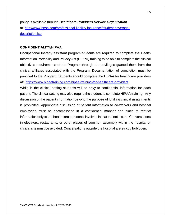policy is available through *Healthcare Providers Service Organization* at [http://www.hpso.com/professional-liability-insurance/student-coverage](http://www.hpso.com/professional-liability-insurance/student-coverage-description.jsp)[description.jsp](http://www.hpso.com/professional-liability-insurance/student-coverage-description.jsp) 

## **CONFIDENTIALITY/HIPAA**

Occupational therapy assistant program students are required to complete the Health Information Portability and Privacy Act (HIPPA) training to be able to complete the clinical objectives requirements of the Program through the privileges granted them from the clinical affiliates associated with the Program. Documentation of completion must be provided to the Program. Students should complete the HIPAA for healthcare providers at: <https://www.hipaatraining.com/hipaa-training-for-healthcare-providers>

While in the clinical setting students will be privy to confidential information for each patient. The clinical setting may also require the student to complete HIPAA training. Any discussion of the patient information beyond the purpose of fulfilling clinical assignments is prohibited. Appropriate discussion of patient information to co-workers and hospital employees must be accomplished in a confidential manner and place to restrict information only to the healthcare personnel involved in that patients' care. Conversations in elevators, restaurants, or other places of common assembly within the hospital or clinical site must be avoided. Conversations outside the hospital are strictly forbidden.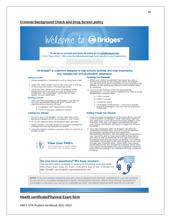#### **Criminal Background Check and Drug Screen policy**



#### CB Bridges™ is a platform designed to help schools, facilities, and most importantly, you, manage your clinical education experience.

#### Placing an Order

- 1. Please navigate to CastleBranch.com to place your order.
- 2. Select the "Place Order" Icon on the menu bar at the top of the screen and enter in the package code.
- 3. Once you have placed your new CB Bridges<sup>14</sup> order, please allow up to 24 hours for your account to be established. The CB Bridges<sup>14</sup> access tile will then appear on your dashboard.

#### **Granting Consent**

- 1. Once you have navigated to CB Bridges™, you will see<br>two pop-up windows asking for your consent and<br>signature before moving forward:
	- a. E-Signature and Transactions consent
	- b. Terms of Use and Conditions consent

#### **Tracking Your Wellness**

- 1. Once you are in CB Bridges<sup>10</sup>, on the right side of the dashboard labeled COVID-19 Compliance, click "Enter."
- 2. Fill out all required fields: temperature, date and time.
- 3. Select "submit." You will receive a "successful submission" message once the log has been processed.
- 4. Using this method, submit a log twice daily for a period of at least 14 days.



## **View User FAQ's**

Click the link above or visit the student FAQ section of the CB Bridges website.

- **Receiving Your Placement**
- 1. When your clinical coordinator has placed you into a<br>clinical experience for the semester within CB Bridges<sup>16</sup> you will receive an email notification to your primary email<br>address on file alerting you that you have checklist items to complete.
- 2. Your first few checklist items are generated by CastleBranch. You will need to complete the Clinical Group<br>Membership Checklist Items:
	- a. FCRA Consent
	- b. FERPA Consent
	- c. Consent to Share
	- d. CB Bridges<sup>18</sup> Subscription if you have already<br>ordered CB Bridges<sup>18</sup>, this item will be marked as **COMPLETE**

#### Working Through Your Checklist

- 1. Once you have completed all of the Items above, you will receive another CB Bridges<sup>w</sup> email notification alerting<br>you when your COVID-19 items have been added to your<br>Checklist. (This may not happen immediately because Checklist. (This may not happen immediately because<br>your clinical coordinator will need to trigger the items to<br>be added.)
- 2. Your next interaction with CB Bridges<sup>24</sup> will likely be<br>completing checklist items such as COVID-19 symptom<br>and exposure questionnaires with attestation,<br>handwashing education, and uploading your temperature<br>log. You w province, as well as both model, in the system as needed. Your clinical<br>coordinator will be able to see your progress as you work<br>through your Checklist items. Some Items may require<br>review before they are considered compl may require review before they are considered complete.<br>Items that are waiting to be reviewed will have a status of Pending.

#### Do you have questions? We have answers.

The Service Desk is available to assist you via phone, chat and email. Mon-Thurs: 8 am - 8 pm, Fri: 8 am - 6:30 pm & Sun: 10 am - 6:30 pm EST 888.723.4263 | servicedesk.cu@castlebranch.com



NOTE: if you are already obtaining your pre-clinical requirements through CastleBranch, you will continue to use myCB to complete background checks, immunization records, and/or drug testing requirements. CB Bridges is the place you will go to complete all other orientation requirements specific to a facility.

#### **Health certificate/Physical Exam form**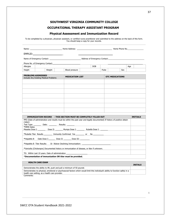## **SOUTHWEST VIRGINIA COMMUNITY COLLEGE**

## **OCCUPATIONAL THERAPY ASSISTANT PROGRAM**

#### **Physical Assessment and Immunization Record**

To be completed by a physician, physician assistant, or certified nurse practitioner and submitted to the address on the back of this form. You should keep a copy for your records.

|                        | <b>DOB</b> | Age                                                                                                                                                                                                                                |                                                                                                                                                                                                                                                                                                                                                                                                               |
|------------------------|------------|------------------------------------------------------------------------------------------------------------------------------------------------------------------------------------------------------------------------------------|---------------------------------------------------------------------------------------------------------------------------------------------------------------------------------------------------------------------------------------------------------------------------------------------------------------------------------------------------------------------------------------------------------------|
| Blood pressure         |            | Sex                                                                                                                                                                                                                                |                                                                                                                                                                                                                                                                                                                                                                                                               |
| <b>MEDICATION LIST</b> |            |                                                                                                                                                                                                                                    |                                                                                                                                                                                                                                                                                                                                                                                                               |
|                        |            |                                                                                                                                                                                                                                    |                                                                                                                                                                                                                                                                                                                                                                                                               |
|                        |            |                                                                                                                                                                                                                                    |                                                                                                                                                                                                                                                                                                                                                                                                               |
|                        |            |                                                                                                                                                                                                                                    |                                                                                                                                                                                                                                                                                                                                                                                                               |
|                        |            |                                                                                                                                                                                                                                    |                                                                                                                                                                                                                                                                                                                                                                                                               |
|                        |            |                                                                                                                                                                                                                                    |                                                                                                                                                                                                                                                                                                                                                                                                               |
|                        |            |                                                                                                                                                                                                                                    |                                                                                                                                                                                                                                                                                                                                                                                                               |
|                        |            |                                                                                                                                                                                                                                    |                                                                                                                                                                                                                                                                                                                                                                                                               |
|                        |            |                                                                                                                                                                                                                                    |                                                                                                                                                                                                                                                                                                                                                                                                               |
|                        |            |                                                                                                                                                                                                                                    | <b>INITIALS</b>                                                                                                                                                                                                                                                                                                                                                                                               |
|                        |            |                                                                                                                                                                                                                                    |                                                                                                                                                                                                                                                                                                                                                                                                               |
|                        |            |                                                                                                                                                                                                                                    |                                                                                                                                                                                                                                                                                                                                                                                                               |
|                        |            |                                                                                                                                                                                                                                    |                                                                                                                                                                                                                                                                                                                                                                                                               |
|                        |            |                                                                                                                                                                                                                                    |                                                                                                                                                                                                                                                                                                                                                                                                               |
|                        |            |                                                                                                                                                                                                                                    |                                                                                                                                                                                                                                                                                                                                                                                                               |
|                        |            |                                                                                                                                                                                                                                    |                                                                                                                                                                                                                                                                                                                                                                                                               |
|                        |            |                                                                                                                                                                                                                                    |                                                                                                                                                                                                                                                                                                                                                                                                               |
|                        |            | Pulse<br>IMMUNIZATION RECORD - THIS SECTION MUST BE COMPLETELY FILLED OUT<br>Test Type: _________ Date: _________ Results: ________<br>*Varicella (Chickenpox) Documented history or immunization of disease, or titer if unknown. | Name: Name: Now the Mome Address: Name Address: Name Phone No.<br><b>OTC MEDICATIONS</b><br>PPD (Date of administration and results must be within the past year and legally documented) If history of positive obtain<br>Measles Dose I: ___________ Dose II: ________ Mumps Dose I: __________ Rubella Dose I: _______<br>*Rubella Titer Results __________ Immunity Confirmed Yes _________ or No ________ |

TD: Within Last 10 years. Date of administration

**\*Documentation of immunization OR titer must be provided.**

#### **HEALTH CARE EXAM**

|                                                                                                                                 | <b>INITALS</b> |
|---------------------------------------------------------------------------------------------------------------------------------|----------------|
| Demonstrates the ability to lift, push and pull a minimum of 50 pounds                                                          |                |
| Demonstrates no physical, emotional or psychosocial factors which would limit this individual's ability to function safely in a |                |
| health care setting, as a health care provider.                                                                                 |                |
| Comments:                                                                                                                       |                |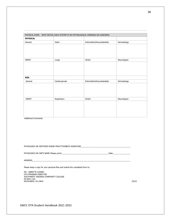|                 | PHYSICAL EXAM: NOTE INITIAL EACH SYSTEM IF NO PATHOLOGICAL FINDINGS OR CONCERNS |                             |              |
|-----------------|---------------------------------------------------------------------------------|-----------------------------|--------------|
| <b>PHYSICAL</b> |                                                                                 |                             |              |
| General         | Heart                                                                           | Extremities\Musculoskeletal | Dermatology  |
|                 |                                                                                 |                             |              |
|                 |                                                                                 |                             |              |
| <b>HEENT</b>    | Lungs                                                                           | $GI\$ U                     | Neurological |
|                 |                                                                                 |                             |              |
| <b>ROS</b>      |                                                                                 |                             |              |
| General         | Cardiovascular                                                                  | Extremities\Musculoskeletal | Dermatology  |
|                 |                                                                                 |                             |              |
| <b>HEENT</b>    | Respiratory                                                                     | GI\GU                       | Neurological |
|                 |                                                                                 |                             |              |

Additional Comments:

PHYSICIAN'S OR CERTIFIED NURSE PRACTITIONER'S SIGNATURE

PHYSICIAN'S OR CNP'S NAME (Please print) \_\_\_\_\_\_\_\_\_\_\_\_\_\_\_\_\_\_\_\_\_\_\_\_\_\_\_\_\_\_\_\_\_\_\_\_\_\_\_\_\_\_\_\_Date:\_\_\_\_\_\_\_\_\_\_\_\_\_\_\_\_

ADDRESS\_\_\_\_\_\_\_\_\_\_\_\_\_\_\_\_\_\_\_\_\_\_\_\_\_\_\_\_\_\_\_\_\_\_\_\_\_\_\_\_\_\_\_\_\_\_\_\_\_\_\_\_\_\_\_\_\_\_\_\_\_\_\_\_\_\_\_\_\_\_\_\_\_\_\_\_\_\_\_\_\_\_\_\_\_\_\_\_\_\_\_\_\_

Please keep a copy for your personal files and submit the completed form to:

MS. ANNETTE LOONEY OTA PROGRAM DIRECTOR SOUTHWEST VIRGINIA COMMUNITY COLLEGE PO BOX 1101  $RICHLANDS, VA 24641$  03/22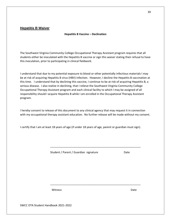## **Hepatitis B Waiver**

#### **Hepatitis B Vaccine – Declination**

The Southwest Virginia Community College Occupational Therapy Assistant program requires that all students either be inoculated with the Hepatitis B vaccine or sign this waiver stating their refusal to have this inoculation, prior to participating in clinical fieldwork.

I understand that due to my potential exposure to blood or other potentially infectious materials I may be at risk of acquiring Hepatitis B virus (HBV) infection. However, I decline the Hepatitis B vaccination at this time. I understand that by declining this vaccine, I continue to be at risk of acquiring Hepatitis B, a serious disease. I also realize in declining, that I relieve the Southwest Virginia Community College Occupational Therapy Assistant program and each clinical facility to which I may be assigned of all responsibility should I acquire Hepatitis B while I am enrolled in the Occupational Therapy Assistant program.

I hereby consent to release of this document to any clinical agency that may request it in connection with my occupational therapy assistant education. No further release will be made without my consent.

\_\_\_\_\_\_\_\_\_\_\_\_\_\_\_\_\_\_\_\_\_\_\_\_\_\_\_\_\_\_\_\_\_\_\_\_\_\_\_\_\_\_\_\_\_\_\_\_\_\_\_\_\_\_\_\_\_\_\_

\_\_\_\_\_\_\_\_\_\_\_\_\_\_\_\_\_\_\_\_\_\_\_\_\_\_\_\_\_\_\_\_\_\_\_\_\_\_\_\_\_\_\_\_\_\_\_\_\_\_\_\_\_\_\_\_\_\_\_

I certify that I am at least 18 years of age (if under 18 years of age, parent or guardian must sign).

Student / Parent / Guardian signature Date

Witness **Date** 

39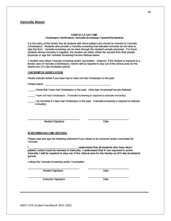#### **Varicella Waver**

#### **VARICELLA VACCINE Chickenpox Verification, Varicella Screening Consent/Declination**

It is the policy of this facility that all students with direct patient care should be immune to Varicella (Chickenpox). Students who provide a Varicella screening that indicates immunity do not have to sign this form. Varicella screening can be done through the student's private physician. For those students whose immunity is negative, the student can either obtain the vaccine from their private physician or sign the Varicella Screening/Vaccine Refusal below.

A student may refuse Varicella screening and/or vaccination. However, if the student is exposed to a known case of Varicella (Chickenpox), he/she will be required to stay out of the clinical area for the twenty-one (21) day incubation period.

#### **CHICKENPOX VERIFICATION**

Please indicate below if you have had or have not had Chickenpox in the past.

**Printed Name:** 

I know that I have had Chickenpox in the past. (Also sign Screening/Vaccine Refusal)

I have not had Chickenpox. (Varicella screening is required to indicate immunity).

I do not know if I have had Chickenpox in the past. (Varicella screening is required to indicate immunity).

**Student Signature** 

**Date** 

#### **SCREENING/VACCINE REFUSAL**

Please read and sign the following statement if you refuse to be screened and/or vaccinated for Varicella.

understand that all students who have direct patient contact must be immune to Varicella. I understand that if I am exposed to active Varicella, I will be required to stay out of the clinical area for the twenty-on (21) day incubation period.

I refuse the Varicella Screening and/or Vaccination.

**Student Signature** 

Date

**Instructor Signature** 

**Date**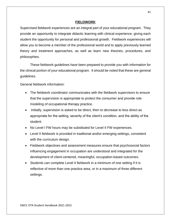## **FIELDWORK**

Supervised fieldwork experiences are an integral part of your educational program. They provide an opportunity to integrate didactic learning with clinical experience, giving each student the opportunity for personal and professional growth. Fieldwork experiences will allow you to become a member of the professional world and to apply previously learned theory and treatment approaches, as well as learn new theories, procedures, and philosophies.

These fieldwork guidelines have been prepared to provide you with information for the clinical portion of your educational program. It should be noted that these are general guidelines.

General fieldwork information:

- The fieldwork coordinator communicates with the fieldwork supervisors to ensure that the supervision is appropriate to protect the consumer and provide role modeling of occupational therapy practice.
- Initially, supervision is asked to be direct, then to decrease to less direct as appropriate for the setting, severity of the client's condition, and the ability of the student.
- No Level I FW hours may be substituted for Level II FW experiences.
- Level II fieldwork is provided in traditional and/or emerging settings, consistent with the curriculum design.
- Fieldwork objectives and assessment measures ensure that psychosocial factors influencing engagement in occupation are understood and integrated for the development of client-centered, meaningful, occupation-based outcomes.
- Students can complete Level II fieldwork in a minimum of one setting if it is reflective of more than one practice area, or in a maximum of three different settings.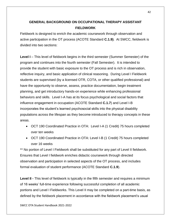# **GENERAL BACKGROUND ON OCCUPATIONAL THERAPY ASSISTANT FIELDWORK**

Fieldwork is designed to enrich the academic coursework through observation and active participation in the OT process (ACOTE Standard **C.1.9)**. At SWCC, fieldwork is divided into two sections:

**Level I** – This level of fieldwork begins in the third semester (Summer Semester) of the program and continues into the fourth semester (Fall Semester). It is intended to provide the student with basic exposure to the OT process and is rich in observation, reflective inquiry, and basic application of clinical reasoning. During Level I Fieldwork students are supervised (by a licensed OTR, COTA, or other qualified professional) and have the opportunity to observe, assess, practice documentation, begin treatment planning, and get introductory hands-on experience while enhancing professional behaviors and skills. Level I-A has at its focus psychological and social factors that influence engagement in occupation (ACOTE Standard **C.1.7**) and Level I-B incorporates the student's learned psychosocial skills into the physical disability populations across the lifespan as they become introduced to therapy concepts in these areas.

- OCT 190 Coordinated Practice in OTA: Level I-A (1 Credit) 75 hours completed over ten weeks
- OCT 190 Coordinated Practice in OTA: Level I-B (1 Credit) 75 hours completed over 16 weeks

\*\* No portion of Level I Fieldwork shall be substituted for any part of Level II fieldwork. Ensures that Level I fieldwork enriches didactic coursework through directed observation and participation in selected aspects of the OT process, and includes formal evaluation of student performance (ACOTE Standard **C.1.9**).

**Level II -** This level of fieldwork is typically in the fifth semester and requires a minimum of 16 weeks' full-time experience following successful completion of all academic portions and Level I Fieldworks. This Level II may be completed on a part-time basis, as defined by the fieldwork placement in accordance with the fieldwork placement's usual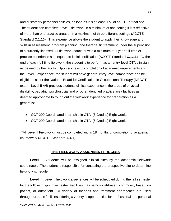and customary personnel policies, as long as it is at least 50% of an FTE at that site. The student can complete Level II fieldwork in a minimum of one setting if it is reflective of more than one practice area, or in a maximum of three different settings (ACOTE Standard **C.1.10**). This experience allows the student to apply their knowledge and skills in assessment, program planning, and therapeutic treatment under the supervision of a currently licensed OT fieldwork educator with a minimum of 1 year full-time of practice experience subsequent to initial certification (ACOTE Standard **C.1.11**). By the end of each full-time fieldwork, the student is to perform as an entry-level OTA clinician as defined by the facility. Upon successful completion of academic requirements and the Level II experience, the student will have general entry-level competence and be eligible to sit for the National Board for Certification in Occupational Therapy (NBCOT) exam. Level II A/B provides students clinical experience in the areas of physical disability, pediatric, psychosocial and or other identified practice area facilities as deemed appropriate to round out the fieldwork experience for preparation as a generalist.

- OCT 290 Coordinated Internship in OTA: (6 Credits) Eight weeks
- OCT 290 Coordinated Internship in OTA: (6 Credits) Eight weeks

\*\*All Level II Fieldwork must be completed within 18 months of completion of academic coursework (ACOTE Standard **A.4.7**)

#### **THE FIELDWORK ASSIGNMENT PROCESS**

**Level I:** Students will be assigned clinical sites by the academic fieldwork coordinator. The student is responsible for contacting the prospective site to determine fieldwork schedule.

**Level II:** Level II fieldwork experiences will be scheduled during the fall semester for the following spring semester. Facilities may be hospital-based, community based, inpatient, or outpatient. A variety of theories and treatment approaches are used throughout these facilities, offering a variety of opportunities for professional and personal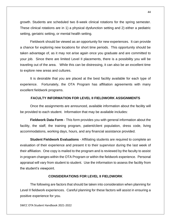growth. Students are scheduled two 8-week clinical rotations for the spring semester. These clinical rotations are in 1) a physical dysfunction setting and 2) either a pediatric setting, geriatric setting, or mental health setting.

Fieldwork should be viewed as an opportunity for new experiences. It can provide a chance for exploring new locations for short time periods. This opportunity should be taken advantage of, as it may not arise again once you graduate and are committed to your job. Since there are limited Level II placements, there is a possibility you will be traveling out of the area. While this can be distressing, it can also be an excellent time to explore new areas and cultures.

It is desirable that you are placed at the best facility available for each type of experience. Fortunately, the OTA Program has affiliation agreements with many excellent fieldwork programs.

#### **FACULTY INFORMATION FOR LEVEL II FIELDWORK ASSIGNMENTS**

Once the assignments are announced, available information about the facility will be provided to each student. Information that may be available includes:

**Fieldwork Data Form** - This form provides you with general information about the facility, the staff, the training program, patient/client population, dress code, living accommodations, working days, hours, and any financial assistance provided.

**Student Fieldwork Evaluations** - Affiliating students are required to complete an evaluation of their experience and present it to their supervisor during the last week of their affiliation. One copy is mailed to the program and is reviewed by the faculty to assist in program changes within the OTA Program or within the fieldwork experience. Personal appraisal will vary from student to student. Use the information to assess the facility from the student's viewpoint.

#### **CONSIDERATIONS FOR LEVEL II FIELDWORK**

The following are factors that should be taken into consideration when planning for Level II fieldwork experiences. Careful planning for these factors will assist in ensuring a positive experience for you.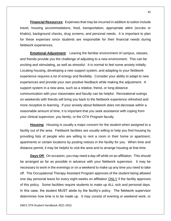**Financial Resources**: Expenses that may be incurred in addition to tuition include travel, housing accommodations, food, transportation, appropriate attire (scrubs or khakis), background checks, drug screens, and personal needs. It is important to plan for these expenses since students are responsible for their financial needs during fieldwork experiences.

**Emotional Adjustment**: Leaving the familiar environment of campus, classes, and friends provide you the challenge of adjusting to a new environment. This can be exciting and stimulating, as well as stressful. It is normal to feel some anxiety initially. Locating housing, developing a new support system, and adapting to your fieldwork experience requires a lot of energy and flexibility. Consider your ability to adapt to new experiences and provide your own positive feedback while making the adjustment. A support system in a new area, such as a relative, friend, or long-distance communication with your classmates and faculty can be helpful. Recreational outings on weekends with friends will bring you back to the fieldwork experience refreshed and more receptive to learning. If your anxiety about fieldwork does not decrease within a reasonable amount of time, it is important that you seek assistance with coping from your clinical supervisor, you family, or the OTA Program faculty.

**Housing**: Housing is usually a major concern for the student when assigned to a facility out of the area. Fieldwork facilities are usually willing to help you find housing by providing lists of people who are willing to rent a room in their home or apartment, apartments or certain locations by posting notices in the facility for you. When time and distance permit, it may be helpful to visit the area and to arrange housing at that time.

**Days Off**: On occasion, you may need a day off while on an affiliation. This should be arranged as far as possible in advance with your fieldwork supervisor. It may be necessary to work in the evenings or on a weekend to make up any time you need to take off. The Occupational Therapy Assistant Program approves of the student being allowed one day personal leave for every eight weeks on affiliation **ONLY** if the facility approves of this policy. Some facilities require students to make up ALL sick and personal days. In this case, the student MUST abide by the facility's policy. The fieldwork supervisor determines how time is to be made up. It may consist of evening or weekend work, or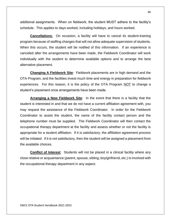additional assignments. When on fieldwork, the student MUST adhere to the facility's schedule. This applies to days worked, including holidays, and hours worked.

**Cancellations**:On occasion, a facility will have to cancel its student-training program because of staffing changes that will not allow adequate supervision of students. When this occurs, the student will be notified of this information. If an experience is canceled after the arrangements have been made, the Fieldwork Coordinator will work individually with the student to determine available options and to arrange the best alternative placement.

**Changing A Fieldwork Site**: Fieldwork placements are in high demand and the OTA Program, and the facilities invest much time and energy in preparation for fieldwork experiences. For this reason, it is the policy of the OTA Program NOT to change a student's placement once arrangements have been made.

**Arranging a New Fieldwork Site**: In the event that there is a facility that the student is interested in and that we do not have a current affiliation agreement with, you may request the assistance of the Fieldwork Coordinator. In order for the Fieldwork Coordinator to assist the student, the name of the facility contact person and the telephone number must be supplied. The Fieldwork Coordinator will then contact the occupational therapy department at the facility and assess whether or not the facility is appropriate for a student affiliation. If it is satisfactory, the affiliation agreement process will be initiated. If it is not satisfactory, then the student will be assigned a placement from the available choices.

**Conflict of Interest**: Students will not be placed in a clinical facility where any close relative or acquaintance (parent, spouse, sibling, boy/girlfriend, etc.) is involved with the occupational therapy department in any aspect.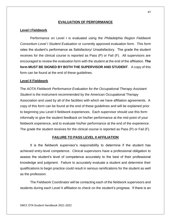## **EVALUATION OF PERFORMANCE**

#### **Level I Fieldwork**

Performance on Level I is evaluated using the *Philadelphia Region Fieldwork Consortium Level I Student Evaluation* or currently approved evaluation form. This form rates the student's performance as Satisfactory/ Unsatisfactory. The grade the student receives for the clinical course is reported as Pass (P) or Fail (F). All supervisors are encouraged to review the evaluation form with the student at the end of the affiliation. **The form MUST BE SIGNED BY BOTH THE SUPERVISOR AND STUDENT**. A copy of this form can be found at the end of these guidelines.

#### **Level II Fieldwork**

The *AOTA Fieldwork Performance Evaluation for the Occupational Therapy Assistant Student* is the instrument recommended by the American Occupational Therapy Association and used by all of the facilities with which we have affiliation agreements. A copy of this form can be found at the end of these guidelines and will be explained prior to beginning you Level II fieldwork experiences. Each supervisor should use this form informally to give the student feedback on his/her performance at the mid-point of your fieldwork experience, and to evaluate his/her performance at the end of the experience. The grade the student receives for the clinical course is reported as Pass (P) or Fail (F).

#### **FAILURE TO PASS LEVEL II AFFILIATION**

It is the fieldwork supervisor's responsibility to determine if the student has achieved entry-level competence. Clinical supervisors have a professional obligation to assess the student's level of competence accurately to the best of their professional knowledge and judgment. Failure to accurately evaluate a student and determine their qualifications to begin practice could result in serious ramifications for the student as well as the profession.

The Fieldwork Coordinator will be contacting each of the fieldwork supervisors and students during each Level II affiliation to check on the student's progress. If there is an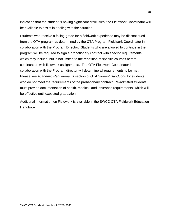indication that the student is having significant difficulties, the Fieldwork Coordinator will be available to assist in dealing with the situation.

Students who receive a failing grade for a fieldwork experience may be discontinued from the OTA program as determined by the OTA Program Fieldwork Coordinator in collaboration with the Program Director. Students who are allowed to continue in the program will be required to sign a probationary contract with specific requirements, which may include, but is not limited to the repetition of specific courses before continuation with fieldwork assignments. The OTA Fieldwork Coordinator in collaboration with the Program director will determine all requirements to be met. Please see *Academic Requirements* section of *OTA Student Handbook* for students who do not meet the requirements of the probationary contract. Re-admitted students must provide documentation of health, medical, and insurance requirements, which will be effective until expected graduation.

Additional information on Fieldwork is available in the SWCC OTA Fieldwork Education Handbook.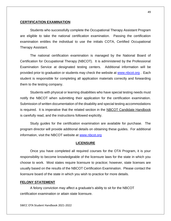#### **CERTIFICATION EXAMINATION**

Students who successfully complete the Occupational Therapy Assistant Program are eligible to take the national certification examination. Passing the certification examination entitles the individual to use the initials COTA, Certified Occupational Therapy Assistant.

The national certification examination is managed by the National Board of Certification for Occupational Therapy (NBCOT). It is administered by the Professional Examination Service at designated testing centers. Additional information will be provided prior to graduation or students may check the website at [www.nbcot.org](http://www.nbcot.org/). Each student is responsible for completing all application materials correctly and forwarding them to the testing company.

Students with physical or learning disabilities who have special testing needs must notify the NBCOT when submitting their application for the certification examination. Submission of written documentation of the disability and special testing accommodations is required. It is imperative that the related section in the NBCOT Candidate Handbook is carefully read, and the instructions followed explicitly.

Study guides for the certification examination are available for purchase. The program director will provide additional details on obtaining these guides. For additional information, visit the NBCOT website at [www.nbcot.org](http://www.nbcot.org/)

#### **LICENSURE**

Once you have completed all required courses for the OTA Program, it is your responsibility to become knowledgeable of the licensure laws for the state in which you choose to work. Most states require licensure to practice; however, state licenses are usually based on the results of the NBCOT Certification Examination. Please contact the licensure board of the state in which you wish to practice for more details.

#### **FELONY STATEMENT**

A felony conviction may affect a graduate's ability to sit for the NBCOT certification examination or attain state licensure.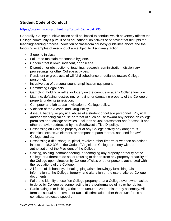# **Student Code of Conduct**

## <https://catalog.sw.edu/content.php?catoid=5&navoid=295>

Generally, College punitive action shall be limited to conduct which adversely affects the College community's pursuit of its educational objectives or behavior that disrupts the teaching/learning process. Violation of classroom courtesy guidelines above and the following examples of misconduct are subject to disciplinary action.

- Sleeping in class.
- Failure to maintain reasonable hygiene.
- Conduct that is lewd, indecent, or obscene.
- Disruption or obstruction of teaching, research, administration, disciplinary proceedings, or other College activities.
- Persistent or gross acts of willful disobedience or defiance toward College personnel.
- intrusive use of personal sound amplification equipment.
- Committing illegal acts.
- Gambling, holding a raffle, or lottery on the campus or at any College function.
- Littering, defacing, destroying, removing, or damaging property of the College or property under its jurisdiction.
- Computer and lab abuse in violation of College policy.
- Violation of the Alcohol and Drug Policy.
- Assault, battery, or physical abuse of a student or college personnel. Physical and/or psychological abuse or threat of such abuse toward any person on college premises or at college activities. Includes sexual harassment and/or assault and other behavior addressed by the Southwest's Title IX policy.
- Possessing on College property or at any College activity any dangerous chemical, explosive element, or component parts thereof, not used for lawful College studies.
- Possessing a rifle, shotgun, pistol, revolver, other firearm or weapon as defined in section 18.2-308 of the Code of Virginia on College property without authorization of the President of the College.
- Seizing, holding, commandeering, or damaging any property or facility of the College or a threat to do so, or refusing to depart from any property or facility of the College upon direction by College officials or other persons authorized within the regulations of the College.
- All forms of dishonesty, cheating, plagiarism, knowingly furnishing false information to the College, forgery, and alteration or the use of altered College documents.
- Failure to identify oneself on College property or at a College event when asked to do so by College personnel acting in the performance of his or her duties.
- Participating in or inciting a riot or an unauthorized or disorderly assembly. All forms of sexual harassment or racial discrimination other than such forms as constitute protected speech.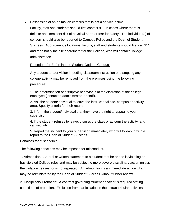• Possession of an animal on campus that is not a service animal.

Faculty, staff and students should first contact 911 in cases where there is definite and imminent risk of physical harm or fear for safety. The individual(s) of concern should also be reported to Campus Police and the Dean of Student Success. At off-campus locations, faculty, staff and students should first call 911 and then notify the site coordinator for the College, who will contact College administration.

## Procedure for Enforcing the Student Code of Conduct

Any student and/or visitor impeding classroom instruction or disrupting any college activity may be removed from the premises using the following procedure:

1.The determination of disruptive behavior is at the discretion of the college employee (instructor, administrator, or staff).

2. Ask the student/individual to leave the instructional site, campus or activity area. Specify criteria for their return.

3. Inform the student/individual that they have the right to appeal to your supervisor.

4. If the student refuses to leave, dismiss the class or adjourn the activity, and call security.

5. Report the incident to your supervisor immediately who will follow-up with a report to the Dean of Student Success.

## Penalties for Misconduct

The following sanctions may be imposed for misconduct.

1. Admonition: An oral or written statement to a student that he or she is violating or has violated College rules and may be subject to more severe disciplinary action unless the violation ceases, or is not repeated. An admonition is an immediate action which may be administered by the Dean of Student Success without further review.

2. Disciplinary Probation: A contract governing student behavior is required stating conditions of probation. Exclusion from participation in the extracurricular activities of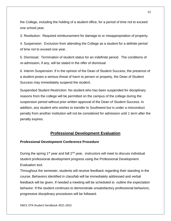the College, including the holding of a student office, for a period of time not to exceed one school year.

3. Restitution: Required reimbursement for damage to or misappropriation of property.

4. Suspension: Exclusion from attending the College as a student for a definite period of time not to exceed one year.

5. Dismissal: Termination of student status for an indefinite period. The conditions of re-admission, if any, will be stated in the offer of dismissal.

6. Interim Suspension: If in the opinion of the Dean of Student Success, the presence of a student poses a serious threat of harm to person or property, the Dean of Student Success may immediately suspend the student.

Suspended Student Restriction: No student who has been suspended for disciplinary reasons from the college will be permitted on the campus of the college during the suspension period without prior written approval of the Dean of Student Success. In addition, any student who wishes to transfer to Southwest but is under a misconduct penalty from another institution will not be considered for admission until 1 term after the penalty expires.

# **Professional Development Evaluation**

## **Professional Development Conference Procedure**

During the spring  $1^{st}$  year and fall  $2^{nd}$  year, instructors will meet to discuss individual student professional development progress using the Professional Development Evaluation tool.

Throughout the semester, students will receive feedback regarding their standing in the course. Behaviors identified in class/lab will be immediately addressed and verbal feedback will be given. If needed a meeting will be scheduled to outline the expectation behavior. If the student continues to demonstrate unsatisfactory professional behaviors, progressive disciplinary procedures will be followed.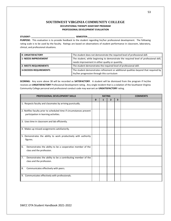#### **SOUTHWEST VIRGINIA COMMUNITY COLLEGE OCCUPATIONAL THERAPY ASSISTANT PROGRAM PROFESSIONAL DEVELOPMENT EVALUATION**

**STUDENT: \_\_\_\_\_\_\_\_\_\_\_\_\_\_\_\_\_\_\_\_\_\_\_\_\_\_\_\_\_\_\_\_\_\_\_ SEMESTER:\_\_\_\_\_\_\_\_\_\_\_\_\_\_\_\_\_\_\_\_\_\_\_\_\_\_\_\_\_\_\_\_\_\_\_\_\_\_\_\_\_\_\_\_**

**PURPOSE:** This evaluation is to provide feedback to the student regarding his/her professional development. The following rating scale is to be used by the faculty. Ratings are based on observations of student performance in classroom, laboratory, clinical, and professional situations.

| <b>O- UNSATISFACTORY</b> | The student does not demonstrate the required level of professional skill.                        |  |
|--------------------------|---------------------------------------------------------------------------------------------------|--|
| l 1- NEEDS IMPROVEMENT   | The student, while beginning to demonstrate the required level of professional skill, $\parallel$ |  |
|                          | needs improvement in either quality or quantity.                                                  |  |
| 2- MEETS REQUIREMENTS    | The student demonstrates the required level of professional skill.                                |  |
| 3-EXCEEDS REQUIREMENTS   | The student demonstrates refinement or additional qualities beyond that required by               |  |
|                          | his/her progression through this curriculum                                                       |  |

**SCORING:** Any score above 38 will be recorded as **SATISFACTORY**. A student will be dismissed from the program if he/she receives an **UNSATISFACTORY** Professional Development rating. Any single incident that is a violation of the Southwest Virginia Community College personal and professional conduct code may warrant an **UNSATISFACTORY** rating.

| <b>PROFESSIONAL DEVELOPMENT SKILLS</b>                                                                        | <b>RATING</b> |              |                | <b>COMMENTS</b>         |  |
|---------------------------------------------------------------------------------------------------------------|---------------|--------------|----------------|-------------------------|--|
|                                                                                                               | $\mathbf{0}$  | $\mathbf{1}$ | $\overline{2}$ | $\overline{\mathbf{3}}$ |  |
| 1. Respects faculty and classmates by arriving punctually.                                                    |               |              |                |                         |  |
| 2. Notifies faculty prior to scheduled time if circumstances prevent<br>participation in learning activities. |               |              |                |                         |  |
| 3. Uses time in classroom and lab efficiently.                                                                |               |              |                |                         |  |
| 4. Makes up missed assignments satisfactorily.                                                                |               |              |                |                         |  |
| 5. Demonstrates the ability to work productively with authority<br>figures.                                   |               |              |                |                         |  |
| Demonstrates the ability to be a cooperative member of the<br>6.<br>class and the profession.                 |               |              |                |                         |  |
| Demonstrates the ability to be a contributing member of the<br>7.<br>class and the profession.                |               |              |                |                         |  |
| Communicates effectively with peers.<br>8.                                                                    |               |              |                |                         |  |
| 9. Communicates effectively with professionals.                                                               |               |              |                |                         |  |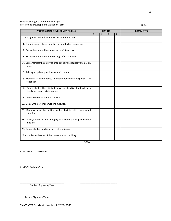**PROFESSIONAL DEVELOPMENT SKILLS RATING COMMENTS**  $0 \t| 1 \t| 2 \t| 3$ 10. Recognizes and utilizes nonverbal communication. 11. Organizes and places priorities in an effective sequence. 12. Recognizes and utilizes knowledge of strengths. 13. Recognizes and utilizes knowledge of weaknesses. 14. Demonstrates the ability to problem solve by logically evaluation facts. 15. Asks appropriate questions when in doubt. 16. Demonstrates the ability to modify behavior in response to feedback. 17. Demonstrates the ability to give constructive feedback in a timely and appropriate manner. 18. Demonstrates emotional stability 19. Deals with personal emotions maturely. 20. Demonstrates the ability to be flexible with unexpected situations. 21. Displays honesty and integrity in academic and professional matters. 22. Demonstrates functional level of confidence 23. Complies with rules of the classroom and building. TOTAL

ADDITIONAL COMMENTS:

STUDENT COMMENTS:

Student Signature/Date

Faculty Signature/Date

SWCC OTA Student Handbook 2021-2022

\_\_\_\_\_\_\_\_\_\_\_\_\_\_\_\_\_\_\_\_\_\_\_\_\_\_\_\_\_\_\_\_\_\_\_ \_\_\_\_\_\_\_\_\_\_\_\_\_\_\_\_\_\_\_\_\_\_\_\_\_\_\_\_\_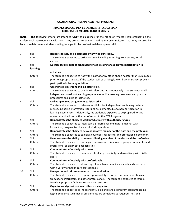#### **OCCUPATIONAL THERAPY ASSISTANT PROGRAM**

#### **PROFESSIONAL DEVELOPMENT EVALUATION CRITERIA FOR MEETING REQUIREMENTS**

**NOTE: The** following criteria are intended **ONLY** as guidelines for the rating of "Meets Requirements" on the Professional Development Evaluation. They are not to be construed as the only indicators that may be used by faculty to determine a student's rating for a particular professional development skill.

| 1.  | Skill:    | Respects faculty and classmates by arriving punctually.                                      |
|-----|-----------|----------------------------------------------------------------------------------------------|
|     | Criteria: | The student is expected to arrive on time, including returning from breaks, for all          |
|     |           | classes.                                                                                     |
| 2.  | Skill:    | Notifies faculty prior to scheduled time if circumstances prevent participation in           |
|     | learning  |                                                                                              |
|     |           | activities.                                                                                  |
|     | Criteria: | The student is expected to notify the instructor by office phone no later than 15 minutes    |
|     |           | prior to appropriate class, if the student will be arriving late or if circumstances prevent |
|     |           | participation in learning activities.                                                        |
| 3.  | Skill:    | Uses time in classroom and lab effectively.                                                  |
|     | Criteria: | The student is expected to use time in class and lab productively. The student should        |
|     |           | independently seek out learning experiences, utilize learning resources, and practice        |
|     |           | procedures and skills as instructed.                                                         |
| 4.  | Skill:    | Makes up missed assignments satisfactorily.                                                  |
|     | Criteria: | The student is expected to take responsibility for independently obtaining material          |
|     |           | missed, including information regarding assignments, due to non-participation in             |
|     |           | learning experiences. Additionally, the student is expected to be prepared to take           |
|     |           | missed examinations on the day of return to the OTA Program.                                 |
| 5.  | Skill:    | Demonstrates the ability to work productively with authority figures.                        |
|     | Criteria: | The student is expected to interact in a professional and mature manner with                 |
|     |           | instructors, program faculty, and clinical supervisors.                                      |
| 6.  | Skill:    | Demonstrates the ability to be a cooperative member of the class and the profession.         |
|     | Criteria: | The student is expected to exhibit a courteous, respectful, and professional demeanor.       |
| 7.  | Skill:    | Demonstrates the ability to be a contributing member of the class and the profession.        |
|     | Criteria: | The student is expected to participate in classroom discussions, group assignments, and      |
|     |           | professional or organizational activities.                                                   |
| 8.  | Skill:    | Communicates effectively with peers.                                                         |
|     | Criteria: | The student is expected to communicate clearly, concisely, and assertively with his/her      |
|     |           | peers.                                                                                       |
| 9.  | Skill:    | Communicates effectively with professionals.                                                 |
|     | Criteria: | The student is expected to show respect, and to communicate clearly and concisely,           |
|     |           | with a variety of health care professionals.                                                 |
| 10. | Skill:    | Recognizes and utilizes non-verbal communication.                                            |
|     | Criteria: | The student is expected to respond appropriately to non-verbal communication cues            |
|     |           | from peers, instructors, and other professionals. The student is expected to refrain         |
|     |           | from inappropriate facial expressions and gestures                                           |
| 11. | Skill:    | Organizes and prioritizes in an effective sequence.                                          |
|     | Criteria: | The student is expected to independently plan and rank all program assignments in a          |
|     |           | logical sequence such that all assignments are completed as required. Personal               |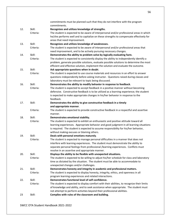|     |           | commitments must be planned such that they do not interfere with the program               |
|-----|-----------|--------------------------------------------------------------------------------------------|
|     |           | commitments.                                                                               |
| 12. | Skill:    | Recognizes and utilizes knowledge of strengths.                                            |
|     | Criteria: | The student is expected to be aware of interpersonal and/or professional areas in which    |
|     |           | he/she performs well and to capitalize on these strengths to compensate effectively for    |
|     |           | areas that need improvement.                                                               |
| 13. | Skill:    | Recognizes and utilizes knowledge of weaknesses.                                           |
|     | Criteria: | The student is expected to be aware of interpersonal and/or professional areas that        |
|     |           | need improvement, and to be actively pursuing necessary changes.                           |
| 14. | Skill:    | Demonstrates the ability to problem solve by logically evaluating facts.                   |
|     | Criteria: | The student is expected to consistently display the ability to independently identify a    |
|     |           | problem, generate possible solutions, evaluate possible solutions to determine the most    |
|     |           | efficient and effective solution, implement the solution and evaluate the outcome.         |
| 15. | Skill:    | Ask appropriate questions when in doubt.                                                   |
|     | Criteria: | The student is expected to use course materials and resources in an effort to answer       |
|     |           | questions independently before asking instructor. Questions raised during classes and      |
|     |           | laboratory must be relevant to topic being discussed.                                      |
| 16. | Skill:    | Demonstrates the ability to modify behavior in response to feedback.                       |
|     | Criteria: | The student is expected to accept feedback in a positive manner without becoming           |
|     |           | defensive. Constructive feedback is to be utilized as a learning experience; the student   |
|     |           | is expected to make appropriate changes in his/her behavior in response to the             |
|     |           | feedback.                                                                                  |
| 17. | Skill:    | Demonstrates the ability to give constructive feedback in a timely                         |
|     |           | and appropriate manner.                                                                    |
|     | Criteria: | The student is expected to provide constructive feedback in a respectful and assertive     |
|     |           | manner.                                                                                    |
| 18. | Skill:    | Demonstrates emotional stability.                                                          |
|     | Criteria: | The student is expected to exhibit an enthusiastic and positive attitude toward all        |
|     |           | learning experiences. Appropriate behavior and good judgment in all learning situations    |
|     |           | is required. The student is expected to assume responsibility for his/her behavior,        |
|     |           | without making excuses or blaming others.                                                  |
| 19. | Skill:    | Deals with personal emotions maturely.                                                     |
|     | Criteria: | The student is expected to manage personal difficulties in a manner that does not          |
|     |           | interfere with learning experiences. The student must demonstrate the ability to           |
|     |           | separate personal feelings from professional /learning experiences. Conflicts must         |
|     |           | resolve in an assertive and appropriate manner.                                            |
| 20. | Skill:    | Displays the ability to be flexible with unexpected situations.                            |
|     | Criteria: | The student is expected to be willing to adjust his/her schedule for class and laboratory  |
|     |           | time as dictated by the situation. The student must be able to accommodate to              |
|     |           | unexpected changes and/or challenges.                                                      |
| 21. | Skill:    | Demonstrates honesty and integrity in academic and professional matters.                   |
|     | Criteria: | The student is expected to display honesty, integrity, ethics, and openness in all         |
|     |           | program learning experiences and related interactions.                                     |
| 22. | Skill:    | Demonstrates functional level of self-confidence.                                          |
|     | Criteria: | The student is expected to display comfort with their abilities, to recognize their limits |
|     |           | of knowledge and ability, and to seek assistance when appropriate. The student must        |
|     |           | not attempt to perform activities beyond their professional abilities.                     |
| 23  | Skill:    | Complies with rules of the classroom and building.                                         |